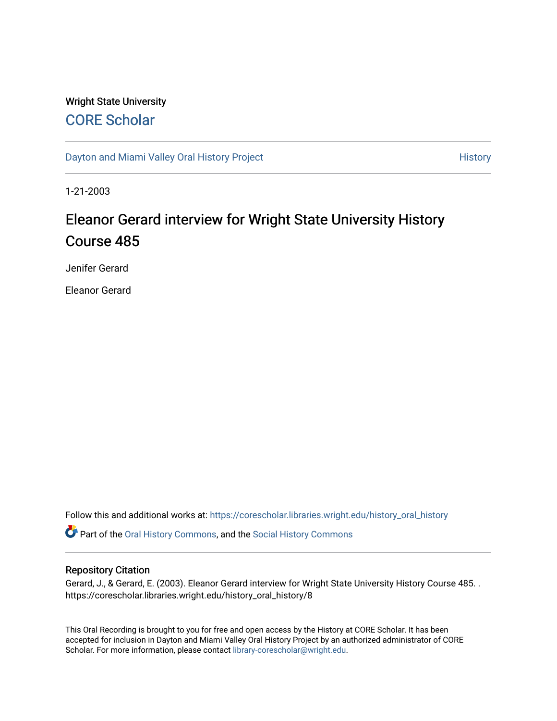## Wright State University [CORE Scholar](https://corescholar.libraries.wright.edu/)

[Dayton and Miami Valley Oral History Project](https://corescholar.libraries.wright.edu/history_oral_history) **History** History

1-21-2003

## Eleanor Gerard interview for Wright State University History Course 485

Jenifer Gerard

Eleanor Gerard

Follow this and additional works at: [https://corescholar.libraries.wright.edu/history\\_oral\\_history](https://corescholar.libraries.wright.edu/history_oral_history?utm_source=corescholar.libraries.wright.edu%2Fhistory_oral_history%2F8&utm_medium=PDF&utm_campaign=PDFCoverPages) 

Part of the [Oral History Commons](http://network.bepress.com/hgg/discipline/1195?utm_source=corescholar.libraries.wright.edu%2Fhistory_oral_history%2F8&utm_medium=PDF&utm_campaign=PDFCoverPages), and the [Social History Commons](http://network.bepress.com/hgg/discipline/506?utm_source=corescholar.libraries.wright.edu%2Fhistory_oral_history%2F8&utm_medium=PDF&utm_campaign=PDFCoverPages)

### Repository Citation

Gerard, J., & Gerard, E. (2003). Eleanor Gerard interview for Wright State University History Course 485. . https://corescholar.libraries.wright.edu/history\_oral\_history/8

This Oral Recording is brought to you for free and open access by the History at CORE Scholar. It has been accepted for inclusion in Dayton and Miami Valley Oral History Project by an authorized administrator of CORE Scholar. For more information, please contact [library-corescholar@wright.edu](mailto:library-corescholar@wright.edu).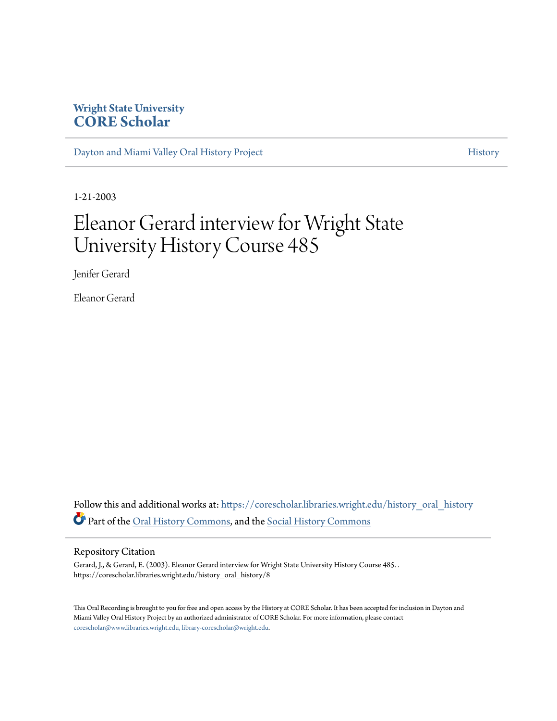### **Wright State University [CORE Scholar](https://corescholar.libraries.wright.edu?utm_source=corescholar.libraries.wright.edu%2Fhistory_oral_history%2F8&utm_medium=PDF&utm_campaign=PDFCoverPages)**

[Dayton and Miami Valley Oral History Project](https://corescholar.libraries.wright.edu/history_oral_history?utm_source=corescholar.libraries.wright.edu%2Fhistory_oral_history%2F8&utm_medium=PDF&utm_campaign=PDFCoverPages) [History](https://corescholar.libraries.wright.edu/history_comm?utm_source=corescholar.libraries.wright.edu%2Fhistory_oral_history%2F8&utm_medium=PDF&utm_campaign=PDFCoverPages) American History

1-21-2003

# Eleanor Gerard interview for Wright State University History Course 485

Jenifer Gerard

Eleanor Gerard

Follow this and additional works at: [https://corescholar.libraries.wright.edu/history\\_oral\\_history](https://corescholar.libraries.wright.edu/history_oral_history?utm_source=corescholar.libraries.wright.edu%2Fhistory_oral_history%2F8&utm_medium=PDF&utm_campaign=PDFCoverPages) Part of the [Oral History Commons](http://network.bepress.com/hgg/discipline/1195?utm_source=corescholar.libraries.wright.edu%2Fhistory_oral_history%2F8&utm_medium=PDF&utm_campaign=PDFCoverPages), and the [Social History Commons](http://network.bepress.com/hgg/discipline/506?utm_source=corescholar.libraries.wright.edu%2Fhistory_oral_history%2F8&utm_medium=PDF&utm_campaign=PDFCoverPages)

#### Repository Citation

Gerard, J., & Gerard, E. (2003). Eleanor Gerard interview for Wright State University History Course 485. . https://corescholar.libraries.wright.edu/history\_oral\_history/8

This Oral Recording is brought to you for free and open access by the History at CORE Scholar. It has been accepted for inclusion in Dayton and Miami Valley Oral History Project by an authorized administrator of CORE Scholar. For more information, please contact [corescholar@www.libraries.wright.edu, library-corescholar@wright.edu](mailto:corescholar@www.libraries.wright.edu,%20library-corescholar@wright.edu).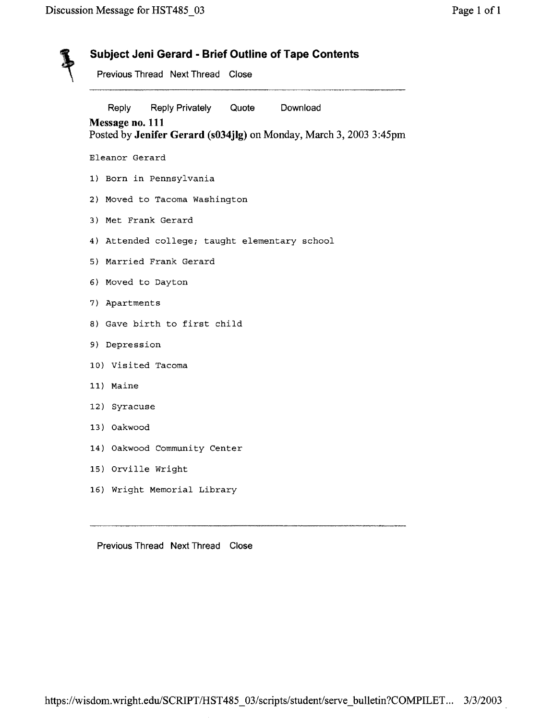| Previous Thread Next Thread Close |                                               |  |                                                                    |
|-----------------------------------|-----------------------------------------------|--|--------------------------------------------------------------------|
| Reply                             | Reply Privately Quote                         |  | Download                                                           |
| Message no. 111                   |                                               |  | Posted by Jenifer Gerard (s034jlg) on Monday, March 3, 2003 3:45pm |
| Eleanor Gerard                    |                                               |  |                                                                    |
|                                   | 1) Born in Pennsylvania                       |  |                                                                    |
|                                   | 2) Moved to Tacoma Washington                 |  |                                                                    |
|                                   | 3) Met Frank Gerard                           |  |                                                                    |
|                                   | 4) Attended college; taught elementary school |  |                                                                    |
|                                   | 5) Married Frank Gerard                       |  |                                                                    |
|                                   | 6) Moved to Dayton                            |  |                                                                    |
| 7) Apartments                     |                                               |  |                                                                    |
|                                   | 8) Gave birth to first child                  |  |                                                                    |
| 9) Depression                     |                                               |  |                                                                    |
|                                   | 10) Visited Tacoma                            |  |                                                                    |
| 11) Maine                         |                                               |  |                                                                    |
| 12) Syracuse                      |                                               |  |                                                                    |
| 13) Oakwood                       |                                               |  |                                                                    |
|                                   | 14) Oakwood Community Center                  |  |                                                                    |
| 15) Orville Wright                |                                               |  |                                                                    |
|                                   |                                               |  |                                                                    |

Previous Thread Next Thread Close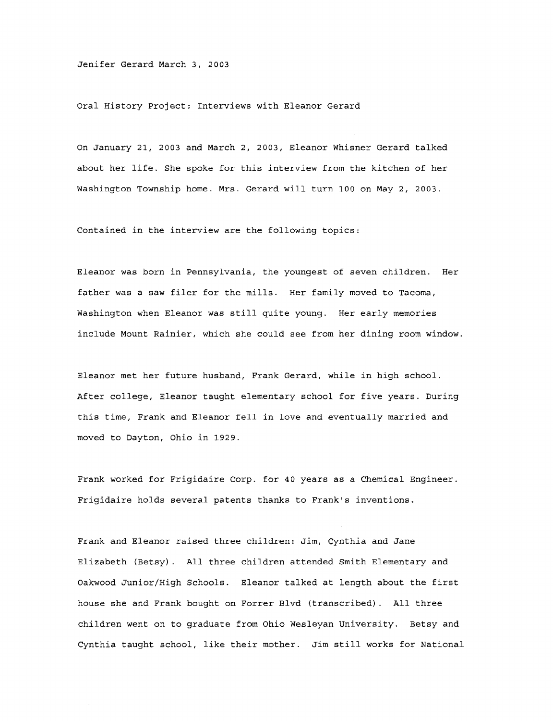Jenifer Gerard March 3, 2003

Oral History Project: Interviews with Eleanor Gerard

On January 21, 2003 and March 2, 2003, Eleanor Whisner Gerard talked about her life. She spoke for this interview from the kitchen of her Washington Township home. Mrs. Gerard will turn 100 on May 2, 2003.

Contained in the interview are the following topics:

Eleanor was born in Pennsylvania, the youngest of seven children. Her father was a saw filer for the mills. Her family moved to Tacoma, Washington when Eleanor was still quite young. Her early memories include Mount Rainier, which she could see from her dining room window.

Eleanor met her future husband, Frank Gerard, while in high school. After college, Eleanor taught elementary school for five years. During this time, Frank and Eleanor fell in love and eventually married and moved to Dayton, Ohio in 1929.

Frank worked for Frigidaire Corp. for 40 years as a Chemical Engineer. Frigidaire holds several patents thanks to Frank's inventions.

Frank and Eleanor raised three children: Jim, Cynthia and Jane Elizabeth (Betsy). All three children attended Smith Elementary and Oakwood Junior/High Schools. Eleanor talked at length about the first house she and Frank bought on Forrer Blvd (transcribed). All three children went on to graduate from Ohio Wesleyan University. Betsy and Cynthia taught school, like their mother. Jim still works for National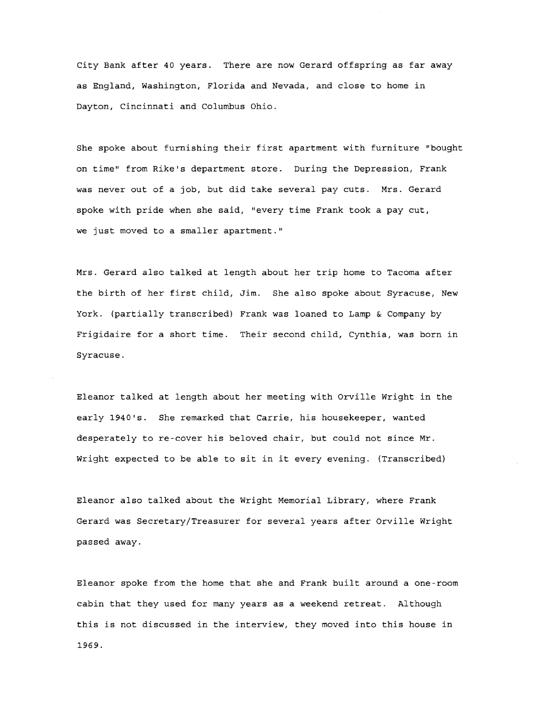City Bank after 40 years. There are now Gerard offspring as far away as England, Washington, Florida and Nevada, and close to home in Dayton, Cincinnati and Columbus Ohio.

She spoke about furnishing their first apartment with furniture "bought on time" from Rike's department store. During the Depression, Frank was never out of a job, but did take several pay cuts. Mrs. Gerard spoke with pride when she said, "every time Frank took a pay cut, we just moved to a smaller apartment."

Mrs. Gerard also talked at length about her trip home to Tacoma after the birth of her first child, Jim. She also spoke about Syracuse, New York. (partially transcribed) Frank was loaned to Lamp & Company by Frigidaire for a short time. Their second child, Cynthia, was born in Syracuse.

Eleanor talked at length about her meeting with Orville Wright in the early 1940's. She remarked that Carrie, his housekeeper, wanted desperately to re-cover his beloved chair, but could not since Mr. Wright expected to be able to sit in it every evening. (Transcribed)

Eleanor also talked about the Wright Memorial Library, where Frank Gerard was Secretary/Treasurer for several years after Orville Wright passed away.

Eleanor spoke from the home that she and Frank built around a one-room cabin that they used for many years as a weekend retreat. Although this is not discussed in the interview, they moved into this house in 1969.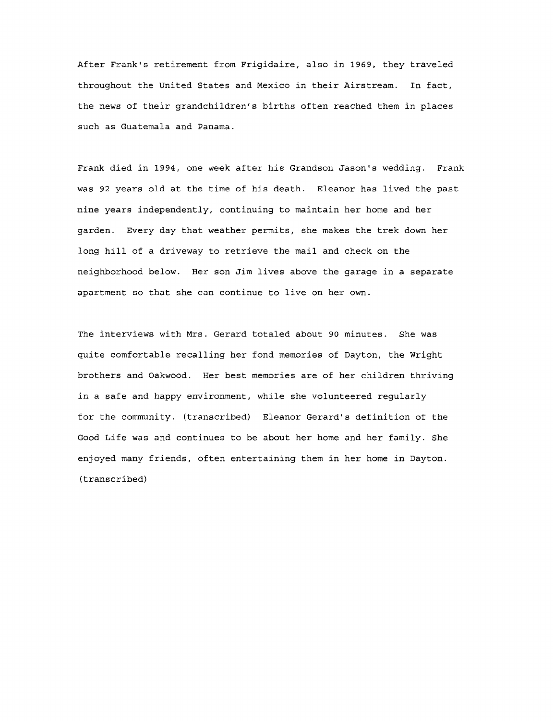After Frank's retirement from Frigidaire, also in 1969, they traveled throughout the united States and Mexico in their Airstream. In fact, the news of their grandchildren's births often reached them in places such as Guatemala and Panama.

Frank died in 1994, one week after his Grandson Jason's wedding. Frank was 92 years old at the time of his death. Eleanor has lived the past nine years independently, continuing to maintain her home and her garden. Every day that weather permits, she makes the trek down her long hill of a driveway to retrieve the mail and check on the neighborhood below. Her son Jim lives above the garage in a separate apartment so that she can continue to live on her own.

The interviews with Mrs. Gerard totaled about 90 minutes. She was quite comfortable recalling her fond memories of Dayton, the Wright brothers and Oakwood. Her best memories are of her children thriving in a safe and happy environment, while she volunteered regularly for the community. (transcribed) Eleanor Gerard's definition of the Good Life was and continues to be about her home and her family. She enjoyed many friends, often entertaining them in her home in Dayton. (transcribed)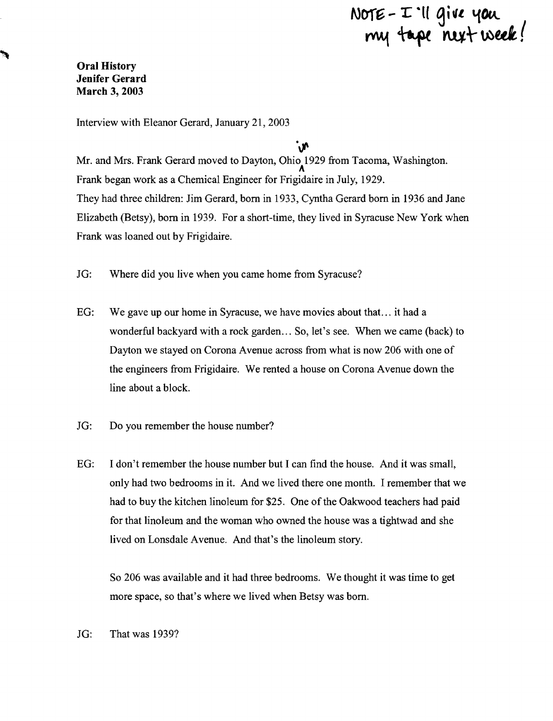# $N$ OTE -  $I\!I$  'Il give you  $n$ eek!

**Oral History Jenifer Gerard March 3, 2003** 

Interview with Eleanor Gerard, January 21,2003

.<br>ለ/ Mr. and Mrs. Frank Gerard moved to Dayton, Ohio 1929 from Tacoma, Washington. <sup>A</sup> Frank began work as a Chemical Engineer for Frigidaire in July, 1929. They had three children: Jim Gerard, born in 1933, Cyntha Gerard born in 1936 and Jane Elizabeth (Betsy), born in 1939. For a short-time, they lived in Syracuse New York when Frank was loaned out by Frigidaire.

- JG: Where did you live when you came home from Syracuse?
- EG: We gave up our home in Syracuse, we have movies about that... it had a wonderful backyard with a rock garden ... So, let's see. When we came (back) to Dayton we stayed on Corona Avenue across from what is now 206 with one of the engineers from Frigidaire. We rented a house on Corona Avenue down the line about a block.
- JG: Do you remember the house number?
- EG: I don't remember the house number but I can find the house. And it was small, only had two bedrooms in it. And we lived there one month. I remember that we had to buy the kitchen linoleum for \$25. One of the Oakwood teachers had paid for that linoleum and the woman who owned the house was a tightwad and she lived on Lonsdale Avenue. And that's the linoleum story.

So 206 was available and it had three bedrooms. We thought it was time to get more space, so that's where we lived when Betsy was born.

JG: That was 1939?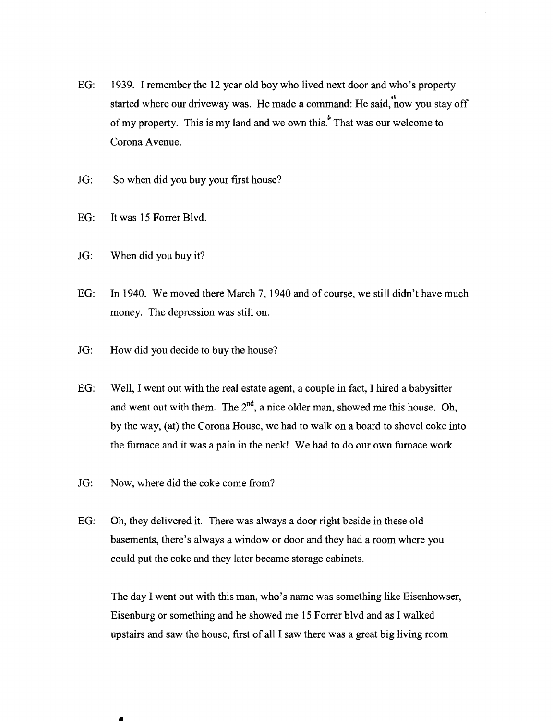- EG: 1939. I remember the 12 year old boy who lived next door and who's property started where our driveway was. He made a command: He said, now you stay off of my property. This is my land and we own this.<sup>\*</sup> That was our welcome to Corona Avenue.
- JG: So when did you buy your first house?
- EG: It was 15 Forrer Blvd.
- JG: When did you buy it?
- EG: In 1940. We moved there March 7, 1940 and of course, we still didn't have much money. The depression was still on.
- JG: How did you decide to buy the house?
- EG: Well, I went out with the real estate agent, a couple in fact, I hired a babysitter and went out with them. The  $2^{nd}$ , a nice older man, showed me this house. Oh, by the way, (at) the Corona House, we had to walk on a board to shovel coke into the furnace and it was a pain in the neck! We had to do our own furnace work.
- JG: Now, where did the coke come from?

•

EG: Oh, they delivered it. There was always a door right beside in these old basements, there's always a window or door and they had a room where you could put the coke and they later became storage cabinets.

The day I went out with this man, who's name was something like Eisenhowser, Eisenburg or something and he showed me 15 Forrer blvd and as I walked upstairs and saw the house, first of all I saw there was a great big living room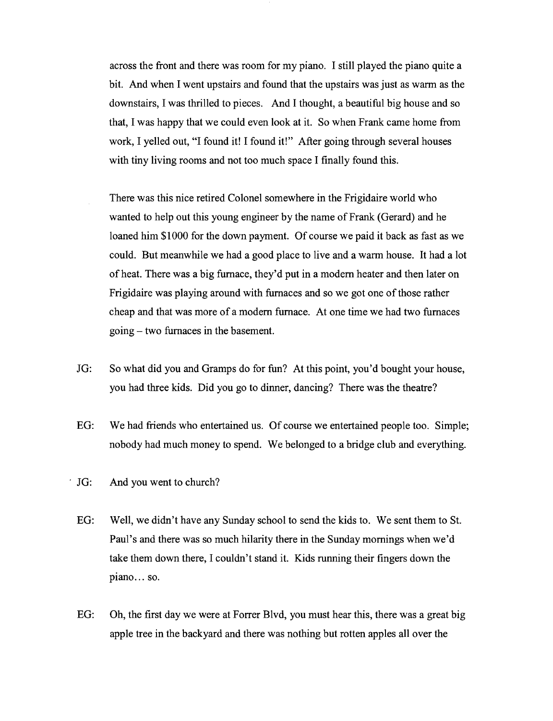across the front and there was room for my piano. I still played the piano quite a bit. And when I went upstairs and found that the upstairs was just as warm as the downstairs, I was thrilled to pieces. And I thought, a beautiful big house and so that, I was happy that we could even look at it. So when Frank came home from work, I yelled out, "I found it! I found it!" After going through several houses with tiny living rooms and not too much space I finally found this.

There was this nice retired Colonel somewhere in the Frigidaire world who wanted to help out this young engineer by the name of Frank (Gerard) and he loaned him \$1000 for the down payment. Of course we paid it back as fast as we could. But meanwhile we had a good place to live and a warm house. It had a lot of heat. There was a big furnace, they'd put in a modem heater and then later on Frigidaire was playing around with furnaces and so we got one of those rather cheap and that was more of a modem furnace. At one time we had two furnaces going – two furnaces in the basement.

- JG: So what did you and Gramps do for fun? At this point, you'd bought your house, you had three kids. Did you go to dinner, dancing? There was the theatre?
- EG: We had friends who entertained us. Of course we entertained people too. Simple; nobody had much money to spend. We belonged to a bridge club and everything.
- . JG: And you went to church?
	- EG: Well, we didn't have any Sunday school to send the kids to. We sent them to St. Paul's and there was so much hilarity there in the Sunday mornings when we'd take them down there, I couldn't stand it. Kids running their fingers down the plano... so.
	- EG: Oh, the first day we were at Forrer Blvd, you must hear this, there was a great big apple tree in the backyard and there was nothing but rotten apples all over the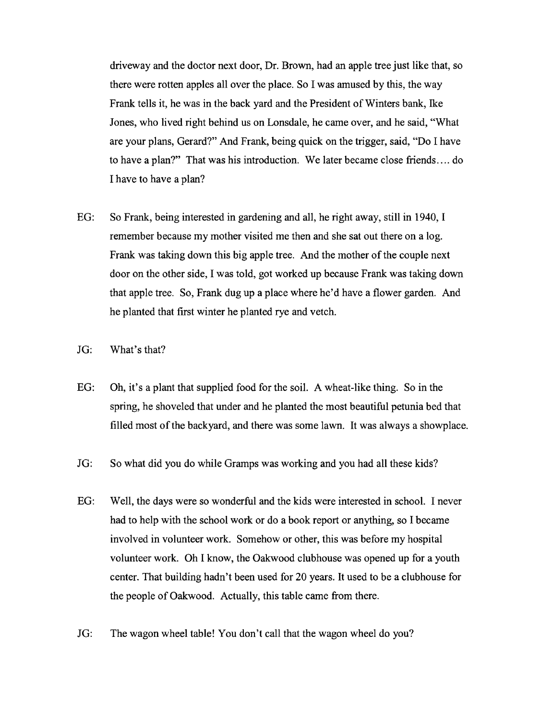driveway and the doctor next door, Dr. Brown, had an apple tree just like that, so there were rotten apples all over the place. So I was amused by this, the way Frank tells it, he was in the back yard and the President of Winters bank, Ike Jones, who lived right behind us on Lonsdale, he came over, and he said, "What are your plans, Gerard?" And Frank, being quick on the trigger, said, "Do I have to have a plan?" That was his introduction. We later became close friends .... do I have to have a plan?

- EG: So Frank, being interested in gardening and all, he right away, still in 1940, I remember because my mother visited me then and she sat out there on a log. Frank was taking down this big apple tree. And the mother of the couple next door on the other side, I was told, got worked up because Frank was taking down that apple tree. So, Frank dug up a place where he'd have a flower garden. And he planted that first winter he planted rye and vetch.
- JG: What's that?
- EG: Oh, it's a plant that supplied food for the soil. A wheat-like thing. So in the spring, he shoveled that under and he planted the most beautiful petunia bed that filled most of the backyard, and there was some lawn. It was always a showplace.
- JG: So what did you do while Gramps was working and you had all these kids?
- EG: Well, the days were so wonderful and the kids were interested in school. I never had to help with the school work or do a book report or anything, so I became involved in volunteer work. Somehow or other, this was before my hospital volunteer work. Oh I know, the Oakwood clubhouse was opened up for a youth center. That building hadn't been used for 20 years. It used to be a clubhouse for the people of Oakwood. Actually, this table came from there.
- JG: The wagon wheel table! You don't call that the wagon wheel do you?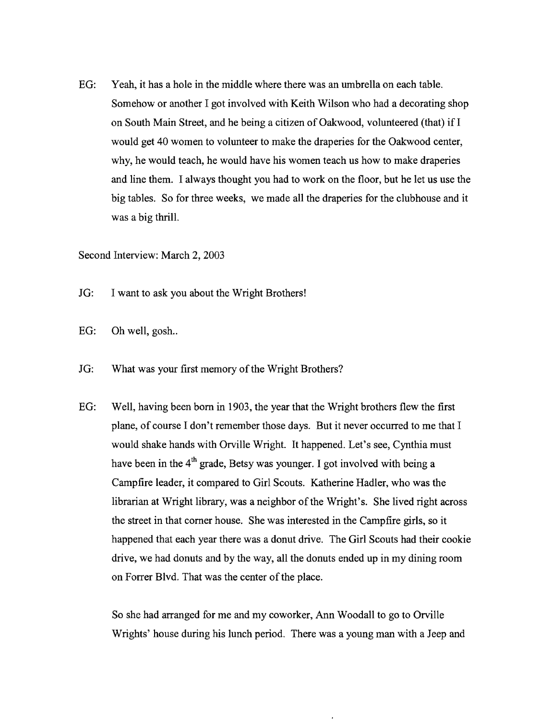EG: Yeah, it has a hole in the middle where there was an umbrella on each table. Somehow or another I got involved with Keith Wilson who had a decorating shop on South Main Street, and he being a citizen of Oakwood, volunteered (that) if  $I$ would get 40 women to volunteer to make the draperies for the Oakwood center, why, he would teach, he would have his women teach us how to make draperies and line them. I always thought you had to work on the floor, but he let us use the big tables. So for three weeks, we made all the draperies for the clubhouse and it was a big thrill.

Second Interview: March 2, 2003

- JG: I want to ask you about the Wright Brothers!
- EG: Oh well, gosh...
- JG: What was your first memory of the Wright Brothers?
- EG: Well, having been born in 1903, the year that the Wright brothers flew the first plane, of course I don't remember those days. But it never occurred to me that I would shake hands with Orville Wright. It happened. Let's see, Cynthia must have been in the  $4<sup>th</sup>$  grade, Betsy was younger. I got involved with being a Campfire leader, it compared to Girl Scouts. Katherine Hadler, who was the librarian at Wright library, was a neighbor of the Wright's. She lived right across the street in that corner house. She was interested in the Campfire girls, so it happened that each year there was a donut drive. The Girl Scouts had their cookie drive, we had donuts and by the way, all the donuts ended up in my dining room on Forrer Blvd. That was the center of the place.

So she had arranged for me and my coworker, Ann Woodall to go to Orville Wrights' house during his lunch period. There was a young man with a Jeep and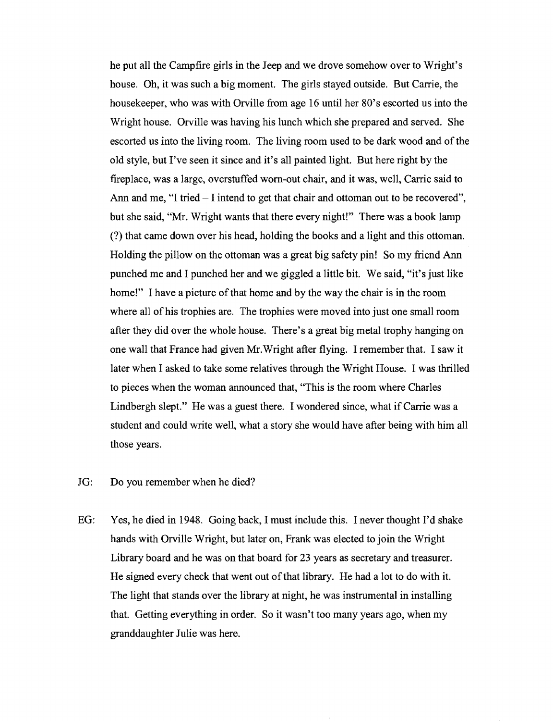he put all the Campfire girls in the Jeep and we drove somehow over to Wright's house. Oh, it was such a big moment. The girls stayed outside. But Carrie, the housekeeper, who was with Orville from age 16 until her 80's escorted us into the Wright house. Orville was having his lunch which she prepared and served. She escorted us into the living room. The living room used to be dark wood and of the old style, but I've seen it since and it's all painted light. But here right by the fireplace, was a large, overstuffed worn-out chair, and it was, well, Carrie said to Ann and me, "I tried  $-1$  intend to get that chair and ottoman out to be recovered", but she said, "Mr. Wright wants that there every night!" There was a book lamp (?) that came down over his head, holding the books and a light and this ottoman. Holding the pillow on the ottoman was a great big safety pin! So my friend Ann punched me and I punched her and we giggled a little bit. We said, "it's just like home!" I have a picture of that home and by the way the chair is in the room where all of his trophies are. The trophies were moved into just one small room after they did over the whole house. There's a great big metal trophy hanging on one wall that France had given Mr.Wright after flying. 1 remember that. I saw it later when I asked to take some relatives through the Wright House. I was thrilled to pieces when the woman announced that, "This is the room where Charles Lindbergh slept." He was a guest there. I wondered since, what if Carrie was a student and could write well, what a story she would have after being with him all those years.

### JG: Do you remember when he died?

EG: Yes, he died in 1948. Going back, I must include this. I never thought I'd shake hands with Orville Wright, but later on, Frank was elected to join the Wright Library board and he was on that board for 23 years as secretary and treasurer. He signed every check that went out of that library. He had a lot to do with it. The light that stands over the library at night, he was instrumental in installing that. Getting everything in order. So it wasn't too many years ago, when my granddaughter Julie was here.